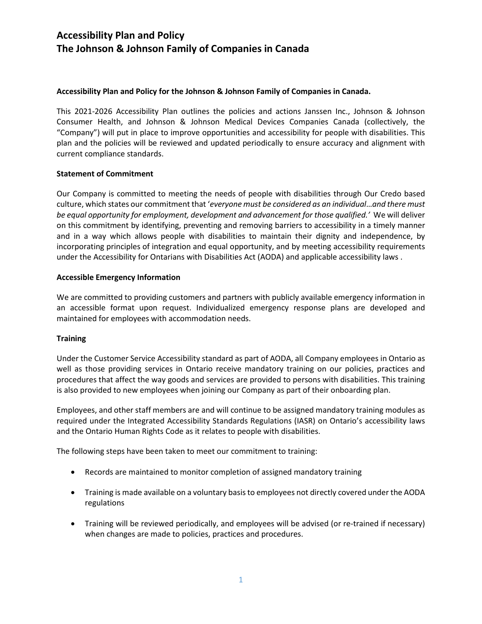### **Accessibility Plan and Policy for the Johnson & Johnson Family of Companies in Canada.**

This 2021-2026 Accessibility Plan outlines the policies and actions Janssen Inc., Johnson & Johnson Consumer Health, and Johnson & Johnson Medical Devices Companies Canada (collectively, the "Company") will put in place to improve opportunities and accessibility for people with disabilities. This plan and the policies will be reviewed and updated periodically to ensure accuracy and alignment with current compliance standards.

#### **Statement of Commitment**

Our Company is committed to meeting the needs of people with disabilities through Our Credo based culture, which states our commitment that '*everyone must be considered as an individual*…*and there must be equal opportunity for employment, development and advancement for those qualified.'* We will deliver on this commitment by identifying, preventing and removing barriers to accessibility in a timely manner and in a way which allows people with disabilities to maintain their dignity and independence, by incorporating principles of integration and equal opportunity, and by meeting accessibility requirements under the Accessibility for Ontarians with Disabilities Act (AODA) and applicable accessibility laws .

### **Accessible Emergency Information**

We are committed to providing customers and partners with publicly available emergency information in an accessible format upon request. Individualized emergency response plans are developed and maintained for employees with accommodation needs.

### **Training**

Under the Customer Service Accessibility standard as part of AODA, all Company employees in Ontario as well as those providing services in Ontario receive mandatory training on our policies, practices and procedures that affect the way goods and services are provided to persons with disabilities. This training is also provided to new employees when joining our Company as part of their onboarding plan.

Employees, and other staff members are and will continue to be assigned mandatory training modules as required under the Integrated Accessibility Standards Regulations (IASR) on Ontario's accessibility laws and the Ontario Human Rights Code as it relates to people with disabilities.

The following steps have been taken to meet our commitment to training:

- Records are maintained to monitor completion of assigned mandatory training
- Training is made available on a voluntary basis to employees not directly covered under the AODA regulations
- Training will be reviewed periodically, and employees will be advised (or re-trained if necessary) when changes are made to policies, practices and procedures.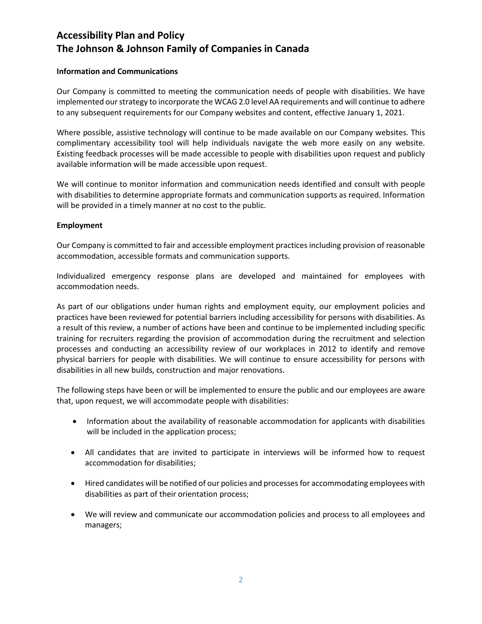#### **Information and Communications**

Our Company is committed to meeting the communication needs of people with disabilities. We have implemented our strategy to incorporate the WCAG 2.0 level AA requirements and will continue to adhere to any subsequent requirements for our Company websites and content, effective January 1, 2021.

Where possible, assistive technology will continue to be made available on our Company websites. This complimentary accessibility tool will help individuals navigate the web more easily on any website. Existing feedback processes will be made accessible to people with disabilities upon request and publicly available information will be made accessible upon request.

We will continue to monitor information and communication needs identified and consult with people with disabilities to determine appropriate formats and communication supports as required. Information will be provided in a timely manner at no cost to the public.

#### **Employment**

Our Company is committed to fair and accessible employment practices including provision of reasonable accommodation, accessible formats and communication supports.

Individualized emergency response plans are developed and maintained for employees with accommodation needs.

As part of our obligations under human rights and employment equity, our employment policies and practices have been reviewed for potential barriers including accessibility for persons with disabilities. As a result of this review, a number of actions have been and continue to be implemented including specific training for recruiters regarding the provision of accommodation during the recruitment and selection processes and conducting an accessibility review of our workplaces in 2012 to identify and remove physical barriers for people with disabilities. We will continue to ensure accessibility for persons with disabilities in all new builds, construction and major renovations.

The following steps have been or will be implemented to ensure the public and our employees are aware that, upon request, we will accommodate people with disabilities:

- Information about the availability of reasonable accommodation for applicants with disabilities will be included in the application process;
- All candidates that are invited to participate in interviews will be informed how to request accommodation for disabilities;
- Hired candidates will be notified of our policies and processes for accommodating employees with disabilities as part of their orientation process;
- We will review and communicate our accommodation policies and process to all employees and managers;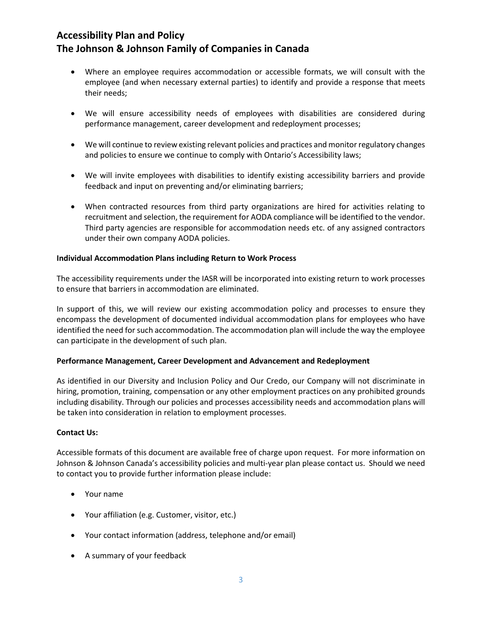- Where an employee requires accommodation or accessible formats, we will consult with the employee (and when necessary external parties) to identify and provide a response that meets their needs;
- We will ensure accessibility needs of employees with disabilities are considered during performance management, career development and redeployment processes;
- We will continue to review existing relevant policies and practices and monitor regulatory changes and policies to ensure we continue to comply with Ontario's Accessibility laws;
- We will invite employees with disabilities to identify existing accessibility barriers and provide feedback and input on preventing and/or eliminating barriers;
- When contracted resources from third party organizations are hired for activities relating to recruitment and selection, the requirement for AODA compliance will be identified to the vendor. Third party agencies are responsible for accommodation needs etc. of any assigned contractors under their own company AODA policies.

### **Individual Accommodation Plans including Return to Work Process**

The accessibility requirements under the IASR will be incorporated into existing return to work processes to ensure that barriers in accommodation are eliminated.

In support of this, we will review our existing accommodation policy and processes to ensure they encompass the development of documented individual accommodation plans for employees who have identified the need for such accommodation. The accommodation plan will include the way the employee can participate in the development of such plan.

#### **Performance Management, Career Development and Advancement and Redeployment**

As identified in our Diversity and Inclusion Policy and Our Credo, our Company will not discriminate in hiring, promotion, training, compensation or any other employment practices on any prohibited grounds including disability. Through our policies and processes accessibility needs and accommodation plans will be taken into consideration in relation to employment processes.

#### **Contact Us:**

Accessible formats of this document are available free of charge upon request. For more information on Johnson & Johnson Canada's accessibility policies and multi-year plan please contact us. Should we need to contact you to provide further information please include:

- Your name
- Your affiliation (e.g. Customer, visitor, etc.)
- Your contact information (address, telephone and/or email)
- A summary of your feedback